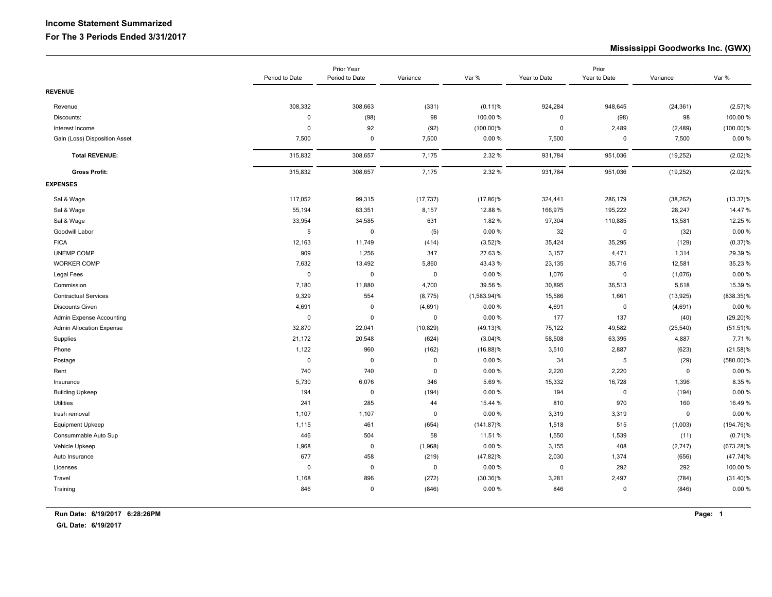## **Income Statement Summarized For The 3 Periods Ended 3/31/2017**

## **Mississippi Goodworks Inc. (GWX)**

|                                 |             | Prior Year<br>Period to Date<br>Period to Date<br>Variance |             |                | Year to Date | Prior<br>Year to Date | Variance    | Var %        |
|---------------------------------|-------------|------------------------------------------------------------|-------------|----------------|--------------|-----------------------|-------------|--------------|
|                                 |             |                                                            |             | Var %          |              |                       |             |              |
| <b>REVENUE</b>                  |             |                                                            |             |                |              |                       |             |              |
| Revenue                         | 308,332     | 308,663                                                    | (331)       | $(0.11)$ %     | 924,284      | 948,645               | (24, 361)   | (2.57)%      |
| Discounts:                      | 0           | (98)                                                       | 98          | 100.00%        | 0            | (98)                  | 98          | 100.00 %     |
| Interest Income                 | 0           | 92                                                         | (92)        | $(100.00)\%$   | $\mathbf 0$  | 2,489                 | (2, 489)    | $(100.00)\%$ |
| Gain (Loss) Disposition Asset   | 7,500       | $\mathbf 0$                                                | 7,500       | 0.00%          | 7,500        | $\mathbf 0$           | 7,500       | 0.00%        |
| <b>Total REVENUE:</b>           | 315,832     | 308,657                                                    | 7,175       | 2.32 %         | 931,784      | 951,036               | (19, 252)   | (2.02)%      |
| <b>Gross Profit:</b>            | 315,832     | 308,657                                                    | 7,175       | 2.32 %         | 931,784      | 951,036               | (19, 252)   | (2.02)%      |
| <b>EXPENSES</b>                 |             |                                                            |             |                |              |                       |             |              |
| Sal & Wage                      | 117,052     | 99,315                                                     | (17, 737)   | $(17.86)\%$    | 324,441      | 286,179               | (38, 262)   | $(13.37)\%$  |
| Sal & Wage                      | 55,194      | 63,351                                                     | 8,157       | 12.88%         | 166,975      | 195,222               | 28,247      | 14.47 %      |
| Sal & Wage                      | 33,954      | 34,585                                                     | 631         | 1.82 %         | 97,304       | 110,885               | 13,581      | 12.25 %      |
| Goodwill Labor                  | 5           | $\mathbf 0$                                                | (5)         | 0.00%          | 32           | $\pmb{0}$             | (32)        | 0.00%        |
| <b>FICA</b>                     | 12,163      | 11,749                                                     | (414)       | (3.52)%        | 35,424       | 35,295                | (129)       | (0.37)%      |
| <b>UNEMP COMP</b>               | 909         | 1,256                                                      | 347         | 27.63%         | 3,157        | 4,471                 | 1,314       | 29.39 %      |
| <b>WORKER COMP</b>              | 7,632       | 13,492                                                     | 5,860       | 43.43%         | 23,135       | 35,716                | 12,581      | 35.23 %      |
| Legal Fees                      | 0           | $\mathbf 0$                                                | $\mathbf 0$ | 0.00 %         | 1,076        | $\mathbf 0$           | (1,076)     | 0.00%        |
| Commission                      | 7,180       | 11,880                                                     | 4,700       | 39.56 %        | 30,895       | 36,513                | 5,618       | 15.39 %      |
| <b>Contractual Services</b>     | 9,329       | 554                                                        | (8,775)     | $(1,583.94)\%$ | 15,586       | 1,661                 | (13, 925)   | $(838.35)\%$ |
| <b>Discounts Given</b>          | 4,691       | $\mathbf 0$                                                | (4,691)     | 0.00%          | 4,691        | $\mathbf 0$           | (4,691)     | 0.00%        |
| Admin Expense Accounting        | $\mathsf 0$ | $\mathbf 0$                                                | $\pmb{0}$   | 0.00%          | 177          | 137                   | (40)        | $(29.20)\%$  |
| <b>Admin Allocation Expense</b> | 32,870      | 22,041                                                     | (10, 829)   | $(49.13)\%$    | 75,122       | 49,582                | (25, 540)   | $(51.51)$ %  |
| Supplies                        | 21,172      | 20,548                                                     | (624)       | (3.04)%        | 58,508       | 63,395                | 4,887       | 7.71%        |
| Phone                           | 1,122       | 960                                                        | (162)       | $(16.88)\%$    | 3,510        | 2,887                 | (623)       | $(21.58)\%$  |
| Postage                         | $\pmb{0}$   | $\mathbf 0$                                                | $\mathbf 0$ | 0.00%          | 34           | $5\phantom{.0}$       | (29)        | $(580.00)\%$ |
| Rent                            | 740         | 740                                                        | $\mathbf 0$ | 0.00%          | 2,220        | 2,220                 | $\mathbf 0$ | 0.00%        |
| Insurance                       | 5,730       | 6,076                                                      | 346         | 5.69%          | 15,332       | 16,728                | 1,396       | 8.35%        |
| <b>Building Upkeep</b>          | 194         | $\mathbf 0$                                                | (194)       | 0.00%          | 194          | $\mathbf 0$           | (194)       | 0.00%        |
| Utilities                       | 241         | 285                                                        | 44          | 15.44 %        | 810          | 970                   | 160         | 16.49 %      |
| trash removal                   | 1,107       | 1,107                                                      | $\mathbf 0$ | 0.00%          | 3,319        | 3,319                 | $\mathbf 0$ | 0.00%        |
| <b>Equipment Upkeep</b>         | 1,115       | 461                                                        | (654)       | $(141.87)\%$   | 1,518        | 515                   | (1,003)     | $(194.76)\%$ |
| Consummable Auto Sup            | 446         | 504                                                        | 58          | 11.51 %        | 1,550        | 1,539                 | (11)        | $(0.71)$ %   |
| Vehicle Upkeep                  | 1,968       | $\pmb{0}$                                                  | (1,968)     | 0.00%          | 3,155        | 408                   | (2,747)     | $(673.28)\%$ |
| Auto Insurance                  | 677         | 458                                                        | (219)       | $(47.82)\%$    | 2,030        | 1,374                 | (656)       | (47.74)%     |
| Licenses                        | 0           | $\mathbf 0$                                                | $\mathbf 0$ | 0.00%          | $\mathbf 0$  | 292                   | 292         | 100.00 %     |
| Travel                          | 1,168       | 896                                                        | (272)       | $(30.36)\%$    | 3,281        | 2,497                 | (784)       | $(31.40)\%$  |
| Training                        | 846         | $\mathbf 0$                                                | (846)       | 0.00%          | 846          | $\mathbf 0$           | (846)       | 0.00%        |
|                                 |             |                                                            |             |                |              |                       |             |              |